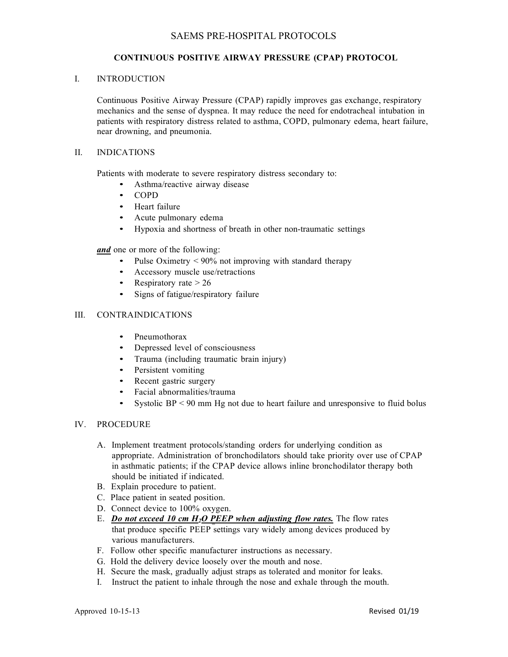# SAEMS PRE-HOSPITAL PROTOCOLS

#### **CONTINUOUS POSITIVE AIRWAY PRESSURE (CPAP) PROTOCOL**

#### I. INTRODUCTION

Continuous Positive Airway Pressure (CPAP) rapidly improves gas exchange, respiratory mechanics and the sense of dyspnea. It may reduce the need for endotracheal intubation in patients with respiratory distress related to asthma, COPD, pulmonary edema, heart failure, near drowning, and pneumonia.

#### II. INDICATIONS

Patients with moderate to severe respiratory distress secondary to:

- Asthma/reactive airway disease
- COPD
- Heart failure
- Acute pulmonary edema
- Hypoxia and shortness of breath in other non-traumatic settings

*and* one or more of the following:

- Pulse Oximetry  $\leq 90\%$  not improving with standard therapy
- Accessory muscle use/retractions
- Respiratory rate  $> 26$
- Signs of fatigue/respiratory failure

## III. CONTRAINDICATIONS

- Pneumothorax
- Depressed level of consciousness
- Trauma (including traumatic brain injury)
- Persistent vomiting
- Recent gastric surgery
- Facial abnormalities/trauma
- Systolic  $BP < 90$  mm Hg not due to heart failure and unresponsive to fluid bolus

# IV. PROCEDURE

- A. Implement treatment protocols/standing orders for underlying condition as appropriate. Administration of bronchodilators should take priority over use of CPAP in asthmatic patients; if the CPAP device allows inline bronchodilator therapy both should be initiated if indicated.
- B. Explain procedure to patient.
- C. Place patient in seated position.
- D. Connect device to 100% oxygen.
- E. *Do not exceed 10 cm H2O PEEP when adjusting flow rates.* The flow rates that produce specific PEEP settings vary widely among devices produced by various manufacturers.
- F. Follow other specific manufacturer instructions as necessary.
- G. Hold the delivery device loosely over the mouth and nose.
- H. Secure the mask, gradually adjust straps as tolerated and monitor for leaks.
- I. Instruct the patient to inhale through the nose and exhale through the mouth.